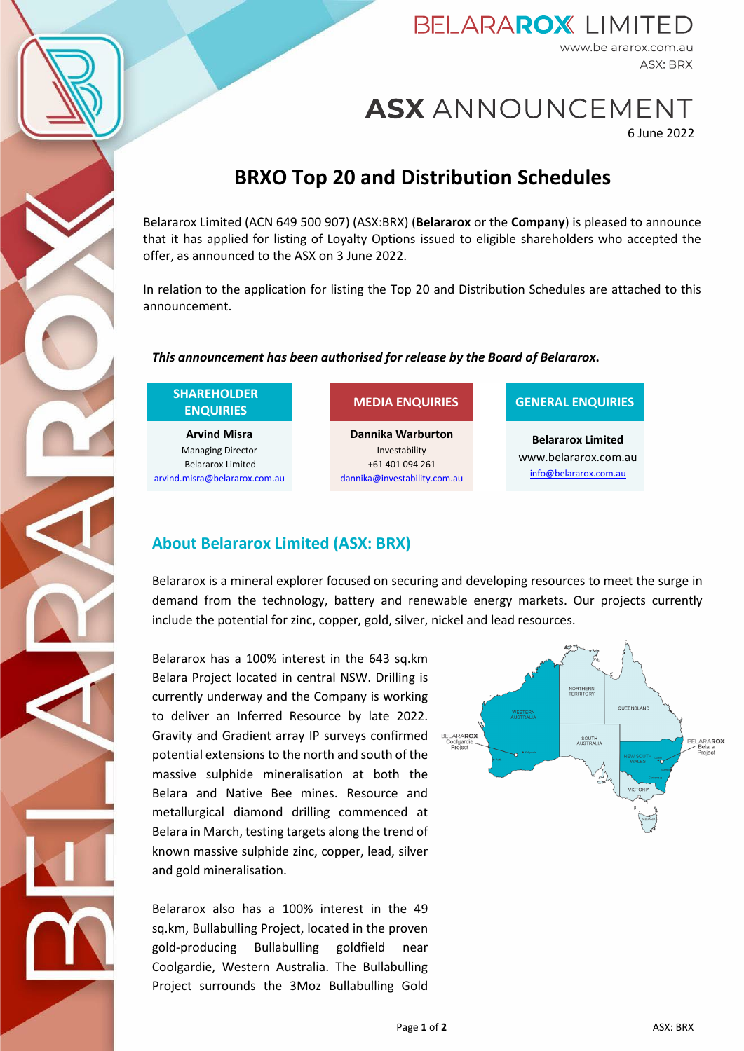

### **BELARAROX LIMITED** www.belararox.com.au **ASX: BRX**

ASX ANNOUNCEMENT

6 June 2022

# **BRXO Top 20 and Distribution Schedules**

Belararox Limited (ACN 649 500 907) (ASX:BRX) (**Belararox** or the **Company**) is pleased to announce that it has applied for listing of Loyalty Options issued to eligible shareholders who accepted the offer, as announced to the ASX on 3 June 2022.

In relation to the application for listing the Top 20 and Distribution Schedules are attached to this announcement.

### *This announcement has been authorised for release by the Board of Belararox***.**

| <b>SHAREHOLDER</b> |
|--------------------|
| <b>ENQUIRIES</b>   |

**Arvind Misra** Managing Director Belararox Limited [arvind.misra@belararox.com.au](mailto:arvind.misra@belararox.com.au)

**Dannika Warburton** Investability +61 401 094 261 [dannika@investability.com.au](mailto:dannika@investability.com.au)

### **ENQUIRIES MEDIA ENQUIRIES GENERAL ENQUIRIES**

**Belararox Limited** www.belararox.com.au [info@belararox.com.au](mailto:info@belararox.com.au)

## **About Belararox Limited (ASX: BRX)**

Belararox is a mineral explorer focused on securing and developing resources to meet the surge in demand from the technology, battery and renewable energy markets. Our projects currently include the potential for zinc, copper, gold, silver, nickel and lead resources.

Belararox has a 100% interest in the 643 sq.km Belara Project located in central NSW. Drilling is currently underway and the Company is working to deliver an Inferred Resource by late 2022. Gravity and Gradient array IP surveys confirmed potential extensions to the north and south of the massive sulphide mineralisation at both the Belara and Native Bee mines. Resource and metallurgical diamond drilling commenced at Belara in March, testing targets along the trend of known massive sulphide zinc, copper, lead, silver and gold mineralisation.

Belararox also has a 100% interest in the 49 sq.km, Bullabulling Project, located in the proven gold-producing Bullabulling goldfield near Coolgardie, Western Australia. The Bullabulling Project surrounds the 3Moz Bullabulling Gold

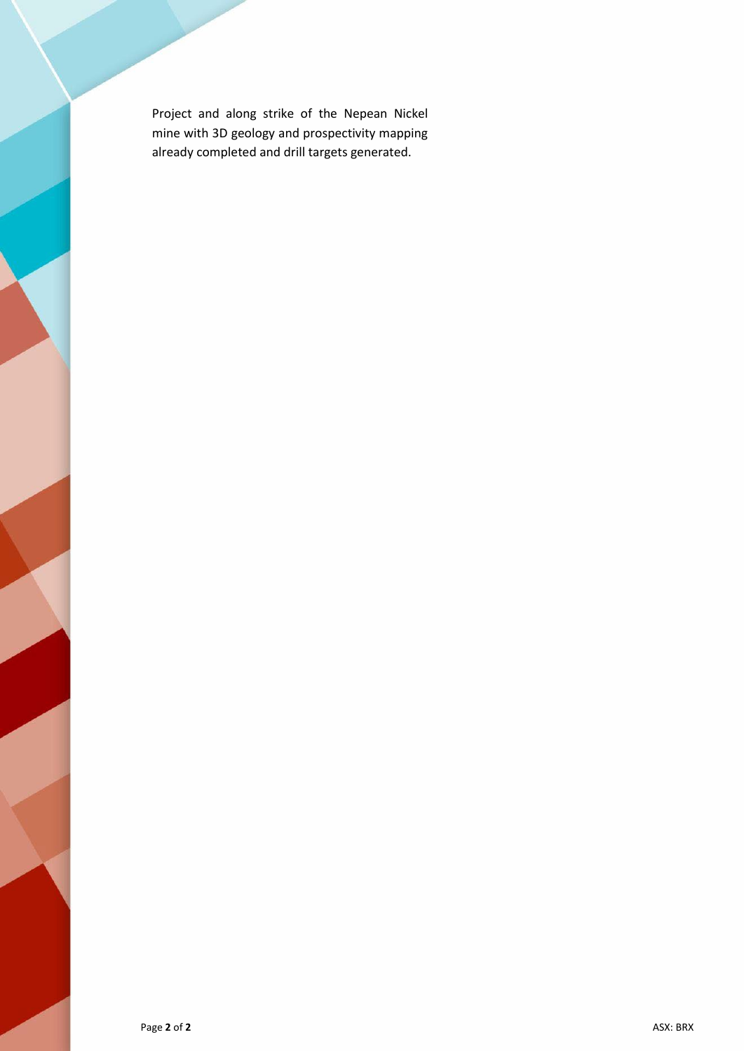Project and along strike of the Nepean Nickel mine with 3D geology and prospectivity mapping already completed and drill targets generated.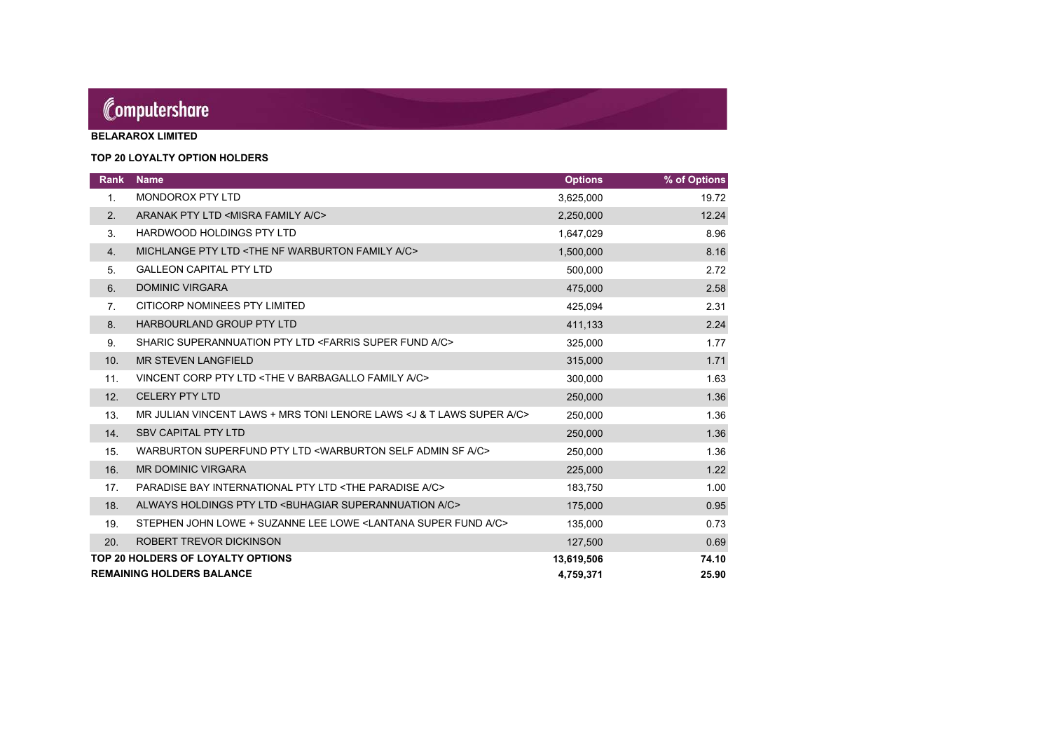# Computershare

**BELARAROX LIMITED**

### **TOP 20 LOYALTY OPTION HOLDERS**

| <b>Rank</b>                       | <b>Name</b>                                                                          | <b>Options</b> | % of Options |
|-----------------------------------|--------------------------------------------------------------------------------------|----------------|--------------|
| 1.                                | <b>MONDOROX PTY LTD</b>                                                              | 3,625,000      | 19.72        |
| 2.                                | ARANAK PTY LTD <misra a="" c="" family=""></misra>                                   | 2,250,000      | 12.24        |
| 3.                                | <b>HARDWOOD HOLDINGS PTY LTD</b>                                                     | 1,647,029      | 8.96         |
| 4.                                | MICHLANGE PTY LTD <the a="" c="" family="" nf="" warburton=""></the>                 | 1,500,000      | 8.16         |
| 5.                                | <b>GALLEON CAPITAL PTY LTD</b>                                                       | 500,000        | 2.72         |
| 6.                                | <b>DOMINIC VIRGARA</b>                                                               | 475,000        | 2.58         |
| 7.                                | CITICORP NOMINEES PTY LIMITED                                                        | 425,094        | 2.31         |
| 8.                                | <b>HARBOURLAND GROUP PTY LTD</b>                                                     | 411,133        | 2.24         |
| 9.                                | SHARIC SUPERANNUATION PTY LTD <farris a="" c="" fund="" super=""></farris>           | 325,000        | 1.77         |
| 10.                               | <b>MR STEVEN LANGFIELD</b>                                                           | 315,000        | 1.71         |
| 11.                               | VINCENT CORP PTY LTD <the a="" barbagallo="" c="" family="" v=""></the>              | 300,000        | 1.63         |
| 12.                               | <b>CELERY PTY LTD</b>                                                                | 250,000        | 1.36         |
| 13.                               | MR JULIAN VINCENT LAWS + MRS TONI LENORE LAWS < J & T LAWS SUPER A/C>                | 250,000        | 1.36         |
| 14.                               | <b>SBV CAPITAL PTY LTD</b>                                                           | 250,000        | 1.36         |
| 15.                               | WARBURTON SUPERFUND PTY LTD <warburton a="" admin="" c="" self="" sf=""></warburton> | 250,000        | 1.36         |
| 16.                               | <b>MR DOMINIC VIRGARA</b>                                                            | 225,000        | 1.22         |
| 17.                               | PARADISE BAY INTERNATIONAL PTY LTD <the a="" c="" paradise=""></the>                 | 183,750        | 1.00         |
| 18.                               | ALWAYS HOLDINGS PTY LTD <buhagiar a="" c="" superannuation=""></buhagiar>            | 175,000        | 0.95         |
| 19.                               | STEPHEN JOHN LOWE + SUZANNE LEE LOWE <lantana a="" c="" fund="" super=""></lantana>  | 135,000        | 0.73         |
| 20.                               | ROBERT TREVOR DICKINSON                                                              | 127,500        | 0.69         |
| TOP 20 HOLDERS OF LOYALTY OPTIONS |                                                                                      |                | 74.10        |
|                                   | <b>REMAINING HOLDERS BALANCE</b>                                                     | 4,759,371      | 25.90        |